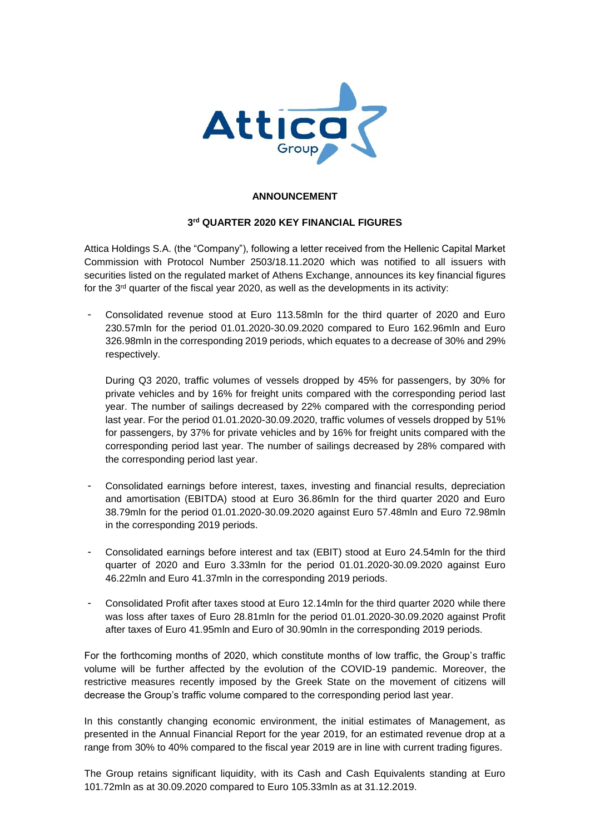

## **ANNOUNCEMENT**

## **3 rd QUARTER 2020 KEY FINANCIAL FIGURES**

Attica Holdings S.A. (the "Company"), following a letter received from the Hellenic Capital Market Commission with Protocol Number 2503/18.11.2020 which was notified to all issuers with securities listed on the regulated market of Athens Exchange, announces its key financial figures for the 3<sup>rd</sup> quarter of the fiscal year 2020, as well as the developments in its activity:

- Consolidated revenue stood at Euro 113.58mln for the third quarter of 2020 and Euro 230.57mln for the period 01.01.2020-30.09.2020 compared to Euro 162.96mln and Euro 326.98mln in the corresponding 2019 periods, which equates to a decrease of 30% and 29% respectively.

During Q3 2020, traffic volumes of vessels dropped by 45% for passengers, by 30% for private vehicles and by 16% for freight units compared with the corresponding period last year. The number of sailings decreased by 22% compared with the corresponding period last year. For the period 01.01.2020-30.09.2020, traffic volumes of vessels dropped by 51% for passengers, by 37% for private vehicles and by 16% for freight units compared with the corresponding period last year. The number of sailings decreased by 28% compared with the corresponding period last year.

- Consolidated earnings before interest, taxes, investing and financial results, depreciation and amortisation (EBITDA) stood at Euro 36.86mln for the third quarter 2020 and Euro 38.79mln for the period 01.01.2020-30.09.2020 against Euro 57.48mln and Euro 72.98mln in the corresponding 2019 periods.
- Consolidated earnings before interest and tax (EBIT) stood at Euro 24.54mln for the third quarter of 2020 and Euro 3.33mln for the period 01.01.2020-30.09.2020 against Euro 46.22mln and Euro 41.37mln in the corresponding 2019 periods.
- Consolidated Profit after taxes stood at Euro 12.14mln for the third quarter 2020 while there was loss after taxes of Euro 28.81mln for the period 01.01.2020-30.09.2020 against Profit after taxes of Euro 41.95mln and Euro of 30.90mln in the corresponding 2019 periods.

For the forthcoming months of 2020, which constitute months of low traffic, the Group's traffic volume will be further affected by the evolution of the COVID-19 pandemic. Moreover, the restrictive measures recently imposed by the Greek State on the movement of citizens will decrease the Group's traffic volume compared to the corresponding period last year.

In this constantly changing economic environment, the initial estimates of Management, as presented in the Annual Financial Report for the year 2019, for an estimated revenue drop at a range from 30% to 40% compared to the fiscal year 2019 are in line with current trading figures.

The Group retains significant liquidity, with its Cash and Cash Equivalents standing at Euro 101.72mln as at 30.09.2020 compared to Euro 105.33mln as at 31.12.2019.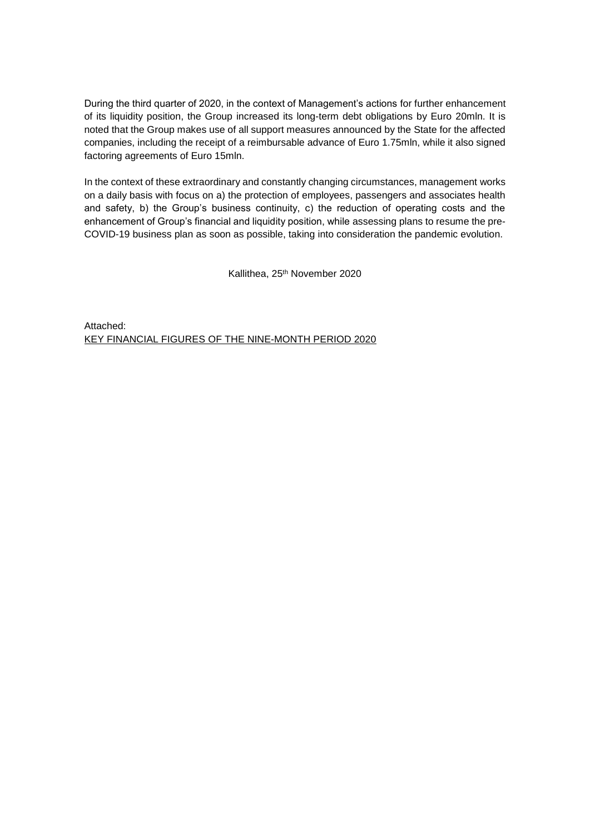During the third quarter of 2020, in the context of Management's actions for further enhancement of its liquidity position, the Group increased its long-term debt obligations by Euro 20mln. It is noted that the Group makes use of all support measures announced by the State for the affected companies, including the receipt of a reimbursable advance of Euro 1.75mln, while it also signed factoring agreements of Euro 15mln.

In the context of these extraordinary and constantly changing circumstances, management works on a daily basis with focus on a) the protection of employees, passengers and associates health and safety, b) the Group's business continuity, c) the reduction of operating costs and the enhancement of Group's financial and liquidity position, while assessing plans to resume the pre-COVID-19 business plan as soon as possible, taking into consideration the pandemic evolution.

Kallithea, 25th November 2020

Attached: KEY FINANCIAL FIGURES OF THE NINE-MONTH PERIOD 2020